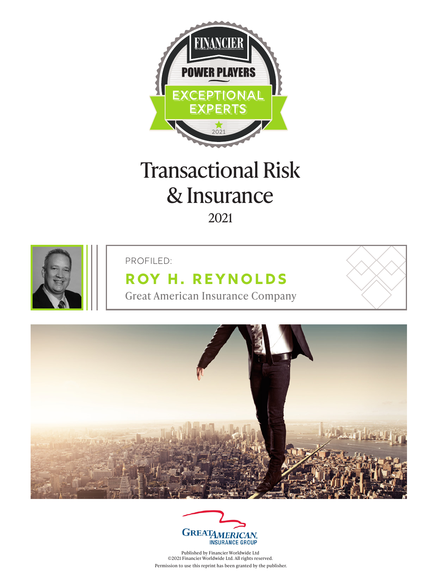

# Transactional Risk & Insurance 2021



#### PROFILED:

## **[Roy H. Reynolds](https://www.greatamericaninsurancegroup.com/docs/default-source/mergers-acquisitions-liability/4313-ma-bio-intro-sell-sheet_061616-web.pdf)**

Great American Insurance Company





Published by Financier Worldwide Ltd ©2021 Financier Worldwide Ltd. All rights reserved. Permission to use this reprint has been granted by the publisher.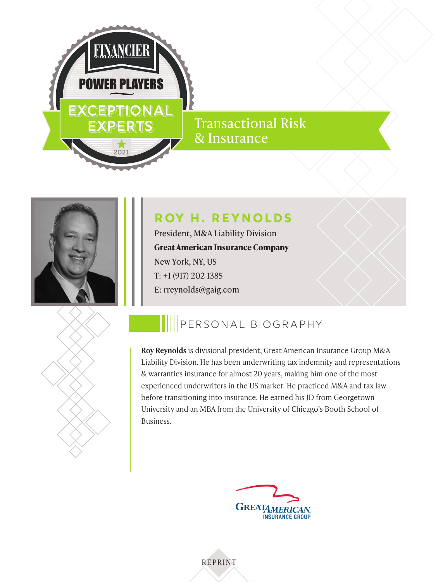

### Transactional Risk & Insurance



### **[Roy H. Reynolds](https://www.greatamericaninsurancegroup.com/docs/default-source/mergers-acquisitions-liability/4313-ma-bio-intro-sell-sheet_061616-web.pdf)**

President, M&A Liability Division **Great American Insurance Company** New York, NY, US T: +1 (917) 202 1385 E: rreynolds@gaig.com



## PERSONAL BIOGRAPHY

**Roy Reynolds** is divisional president, Great American Insurance Group M&A Liability Division. He has been underwriting tax indemnity and representations & warranties insurance for almost 20 years, making him one of the most experienced underwriters in the US market. He practiced M&A and tax law before transitioning into insurance. He earned his JD from Georgetown University and an MBA from the University of Chicago's Booth School of Business.



REPRINT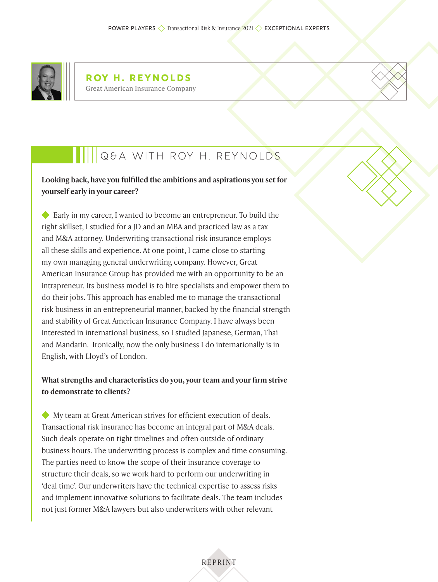



**Looking back, have you fulfilled the ambitions and aspirations you set for yourself early in your career?**

 Early in my career, I wanted to become an entrepreneur. To build the right skillset, I studied for a JD and an MBA and practiced law as a tax and M&A attorney. Underwriting transactional risk insurance employs all these skills and experience. At one point, I came close to starting my own managing general underwriting company. However, Great American Insurance Group has provided me with an opportunity to be an intrapreneur. Its business model is to hire specialists and empower them to do their jobs. This approach has enabled me to manage the transactional risk business in an entrepreneurial manner, backed by the financial strength and stability of Great American Insurance Company. I have always been interested in international business, so I studied Japanese, German, Thai and Mandarin. Ironically, now the only business I do internationally is in English, with Lloyd's of London.

#### **What strengths and characteristics do you, your team and your firm strive to demonstrate to clients?**

 My team at Great American strives for efficient execution of deals. Transactional risk insurance has become an integral part of M&A deals. Such deals operate on tight timelines and often outside of ordinary business hours. The underwriting process is complex and time consuming. The parties need to know the scope of their insurance coverage to structure their deals, so we work hard to perform our underwriting in 'deal time'. Our underwriters have the technical expertise to assess risks and implement innovative solutions to facilitate deals. The team includes not just former M&A lawyers but also underwriters with other relevant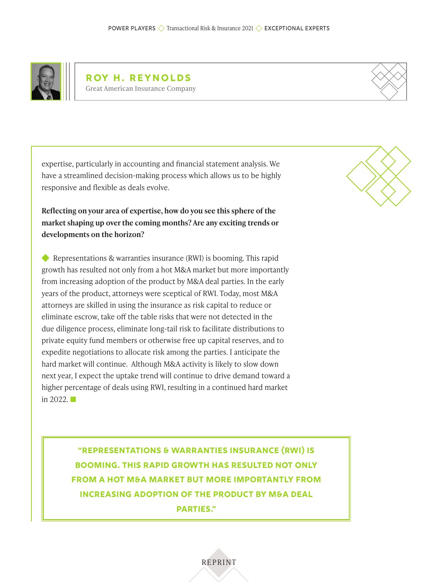

**Roy H. Reynolds** Great American Insurance Company



expertise, particularly in accounting and financial statement analysis. We have a streamlined decision-making process which allows us to be highly responsive and flexible as deals evolve.

**Reflecting on your area of expertise, how do you see this sphere of the market shaping up over the coming months? Are any exciting trends or developments on the horizon?**

Representations & warranties insurance (RWI) is booming. This rapid growth has resulted not only from a hot M&A market but more importantly from increasing adoption of the product by M&A deal parties. In the early years of the product, attorneys were sceptical of RWI. Today, most M&A attorneys are skilled in using the insurance as risk capital to reduce or eliminate escrow, take off the table risks that were not detected in the due diligence process, eliminate long-tail risk to facilitate distributions to private equity fund members or otherwise free up capital reserves, and to expedite negotiations to allocate risk among the parties. I anticipate the hard market will continue. Although M&A activity is likely to slow down next year, I expect the uptake trend will continue to drive demand toward a higher percentage of deals using RWI, resulting in a continued hard market in  $2022$ .

> **"Representations & warranties insurance (RWI) is booming. This rapid growth has resulted not only from a hot M&A market but more importantly from increasing adoption of the product by M&A deal parties."**